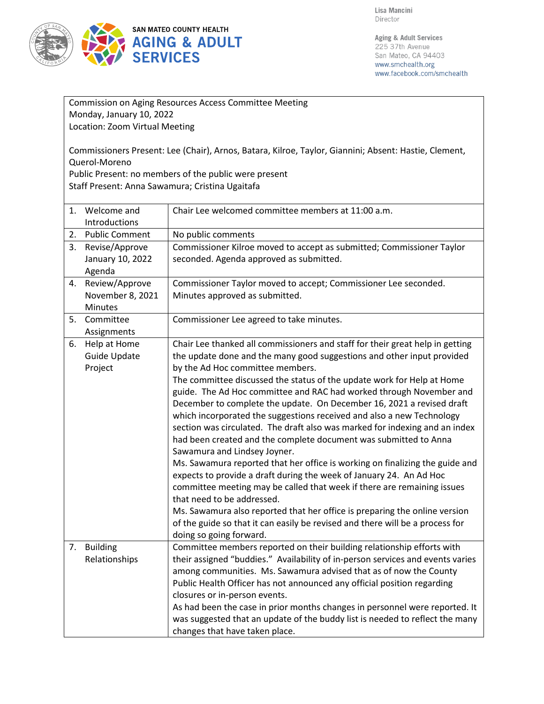

| Commission on Aging Resources Access Committee Meeting |                                                                                                                        |                                                                                                                                                          |  |  |  |
|--------------------------------------------------------|------------------------------------------------------------------------------------------------------------------------|----------------------------------------------------------------------------------------------------------------------------------------------------------|--|--|--|
| Monday, January 10, 2022                               |                                                                                                                        |                                                                                                                                                          |  |  |  |
|                                                        | Location: Zoom Virtual Meeting                                                                                         |                                                                                                                                                          |  |  |  |
|                                                        |                                                                                                                        |                                                                                                                                                          |  |  |  |
|                                                        | Commissioners Present: Lee (Chair), Arnos, Batara, Kilroe, Taylor, Giannini; Absent: Hastie, Clement,<br>Querol-Moreno |                                                                                                                                                          |  |  |  |
|                                                        | Public Present: no members of the public were present                                                                  |                                                                                                                                                          |  |  |  |
|                                                        | Staff Present: Anna Sawamura; Cristina Ugaitafa                                                                        |                                                                                                                                                          |  |  |  |
|                                                        |                                                                                                                        |                                                                                                                                                          |  |  |  |
|                                                        | 1. Welcome and                                                                                                         | Chair Lee welcomed committee members at 11:00 a.m.                                                                                                       |  |  |  |
|                                                        | Introductions                                                                                                          |                                                                                                                                                          |  |  |  |
| 2.                                                     | <b>Public Comment</b>                                                                                                  | No public comments                                                                                                                                       |  |  |  |
| 3.                                                     | Revise/Approve                                                                                                         | Commissioner Kilroe moved to accept as submitted; Commissioner Taylor                                                                                    |  |  |  |
|                                                        | January 10, 2022<br>Agenda                                                                                             | seconded. Agenda approved as submitted.                                                                                                                  |  |  |  |
| 4.                                                     | Review/Approve                                                                                                         | Commissioner Taylor moved to accept; Commissioner Lee seconded.                                                                                          |  |  |  |
|                                                        | November 8, 2021                                                                                                       | Minutes approved as submitted.                                                                                                                           |  |  |  |
|                                                        | Minutes                                                                                                                |                                                                                                                                                          |  |  |  |
| 5.                                                     | Committee                                                                                                              | Commissioner Lee agreed to take minutes.                                                                                                                 |  |  |  |
|                                                        | Assignments                                                                                                            |                                                                                                                                                          |  |  |  |
| 6.                                                     | Help at Home                                                                                                           | Chair Lee thanked all commissioners and staff for their great help in getting                                                                            |  |  |  |
|                                                        | Guide Update                                                                                                           | the update done and the many good suggestions and other input provided                                                                                   |  |  |  |
|                                                        | Project                                                                                                                | by the Ad Hoc committee members.                                                                                                                         |  |  |  |
|                                                        |                                                                                                                        | The committee discussed the status of the update work for Help at Home                                                                                   |  |  |  |
|                                                        |                                                                                                                        | guide. The Ad Hoc committee and RAC had worked through November and                                                                                      |  |  |  |
|                                                        |                                                                                                                        | December to complete the update. On December 16, 2021 a revised draft<br>which incorporated the suggestions received and also a new Technology           |  |  |  |
|                                                        |                                                                                                                        | section was circulated. The draft also was marked for indexing and an index                                                                              |  |  |  |
|                                                        |                                                                                                                        | had been created and the complete document was submitted to Anna                                                                                         |  |  |  |
|                                                        |                                                                                                                        | Sawamura and Lindsey Joyner.                                                                                                                             |  |  |  |
|                                                        |                                                                                                                        | Ms. Sawamura reported that her office is working on finalizing the guide and                                                                             |  |  |  |
|                                                        |                                                                                                                        | expects to provide a draft during the week of January 24. An Ad Hoc                                                                                      |  |  |  |
|                                                        |                                                                                                                        | committee meeting may be called that week if there are remaining issues                                                                                  |  |  |  |
|                                                        |                                                                                                                        | that need to be addressed.                                                                                                                               |  |  |  |
|                                                        |                                                                                                                        | Ms. Sawamura also reported that her office is preparing the online version                                                                               |  |  |  |
|                                                        |                                                                                                                        | of the guide so that it can easily be revised and there will be a process for                                                                            |  |  |  |
|                                                        |                                                                                                                        | doing so going forward.                                                                                                                                  |  |  |  |
| 7.                                                     | <b>Building</b><br>Relationships                                                                                       | Committee members reported on their building relationship efforts with<br>their assigned "buddies." Availability of in-person services and events varies |  |  |  |
|                                                        |                                                                                                                        | among communities. Ms. Sawamura advised that as of now the County                                                                                        |  |  |  |
|                                                        |                                                                                                                        | Public Health Officer has not announced any official position regarding                                                                                  |  |  |  |
|                                                        |                                                                                                                        | closures or in-person events.                                                                                                                            |  |  |  |
|                                                        |                                                                                                                        | As had been the case in prior months changes in personnel were reported. It                                                                              |  |  |  |
|                                                        |                                                                                                                        | was suggested that an update of the buddy list is needed to reflect the many                                                                             |  |  |  |
|                                                        |                                                                                                                        | changes that have taken place.                                                                                                                           |  |  |  |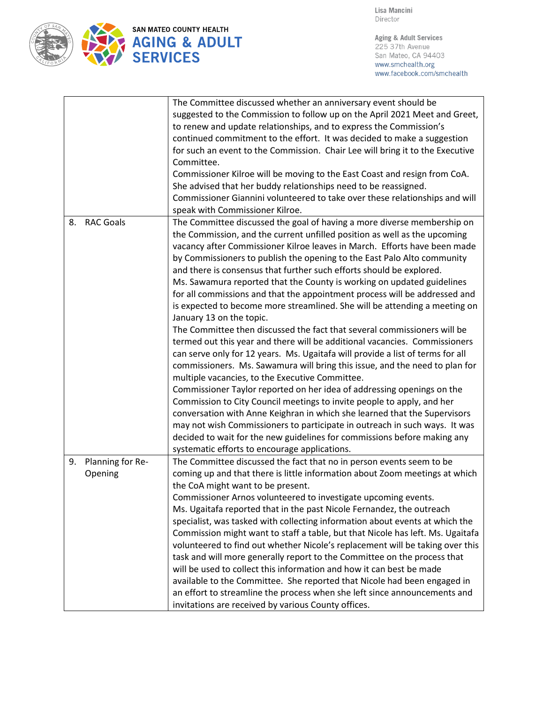

Aging & Adult Services 225 37th Avenue San Mateo, CA 94403 www.smchealth.org www.facebook.com/smchealth

|               |                  | The Committee discussed whether an anniversary event should be<br>suggested to the Commission to follow up on the April 2021 Meet and Greet,<br>to renew and update relationships, and to express the Commission's<br>continued commitment to the effort. It was decided to make a suggestion<br>for such an event to the Commission. Chair Lee will bring it to the Executive<br>Committee.<br>Commissioner Kilroe will be moving to the East Coast and resign from CoA.<br>She advised that her buddy relationships need to be reassigned.<br>Commissioner Giannini volunteered to take over these relationships and will                                                                                                                                                                                                                                                                                                                                                                                                                                                                                                                                                                                                                                                                                                                                                                                                                                                      |
|---------------|------------------|----------------------------------------------------------------------------------------------------------------------------------------------------------------------------------------------------------------------------------------------------------------------------------------------------------------------------------------------------------------------------------------------------------------------------------------------------------------------------------------------------------------------------------------------------------------------------------------------------------------------------------------------------------------------------------------------------------------------------------------------------------------------------------------------------------------------------------------------------------------------------------------------------------------------------------------------------------------------------------------------------------------------------------------------------------------------------------------------------------------------------------------------------------------------------------------------------------------------------------------------------------------------------------------------------------------------------------------------------------------------------------------------------------------------------------------------------------------------------------|
|               |                  | speak with Commissioner Kilroe.                                                                                                                                                                                                                                                                                                                                                                                                                                                                                                                                                                                                                                                                                                                                                                                                                                                                                                                                                                                                                                                                                                                                                                                                                                                                                                                                                                                                                                                  |
| 8.            | <b>RAC Goals</b> | The Committee discussed the goal of having a more diverse membership on<br>the Commission, and the current unfilled position as well as the upcoming<br>vacancy after Commissioner Kilroe leaves in March. Efforts have been made<br>by Commissioners to publish the opening to the East Palo Alto community<br>and there is consensus that further such efforts should be explored.<br>Ms. Sawamura reported that the County is working on updated guidelines<br>for all commissions and that the appointment process will be addressed and<br>is expected to become more streamlined. She will be attending a meeting on<br>January 13 on the topic.<br>The Committee then discussed the fact that several commissioners will be<br>termed out this year and there will be additional vacancies. Commissioners<br>can serve only for 12 years. Ms. Ugaitafa will provide a list of terms for all<br>commissioners. Ms. Sawamura will bring this issue, and the need to plan for<br>multiple vacancies, to the Executive Committee.<br>Commissioner Taylor reported on her idea of addressing openings on the<br>Commission to City Council meetings to invite people to apply, and her<br>conversation with Anne Keighran in which she learned that the Supervisors<br>may not wish Commissioners to participate in outreach in such ways. It was<br>decided to wait for the new guidelines for commissions before making any<br>systematic efforts to encourage applications. |
| 9.<br>Opening | Planning for Re- | The Committee discussed the fact that no in person events seem to be<br>coming up and that there is little information about Zoom meetings at which<br>the CoA might want to be present.<br>Commissioner Arnos volunteered to investigate upcoming events.<br>Ms. Ugaitafa reported that in the past Nicole Fernandez, the outreach<br>specialist, was tasked with collecting information about events at which the<br>Commission might want to staff a table, but that Nicole has left. Ms. Ugaitafa<br>volunteered to find out whether Nicole's replacement will be taking over this<br>task and will more generally report to the Committee on the process that<br>will be used to collect this information and how it can best be made<br>available to the Committee. She reported that Nicole had been engaged in<br>an effort to streamline the process when she left since announcements and<br>invitations are received by various County offices.                                                                                                                                                                                                                                                                                                                                                                                                                                                                                                                       |